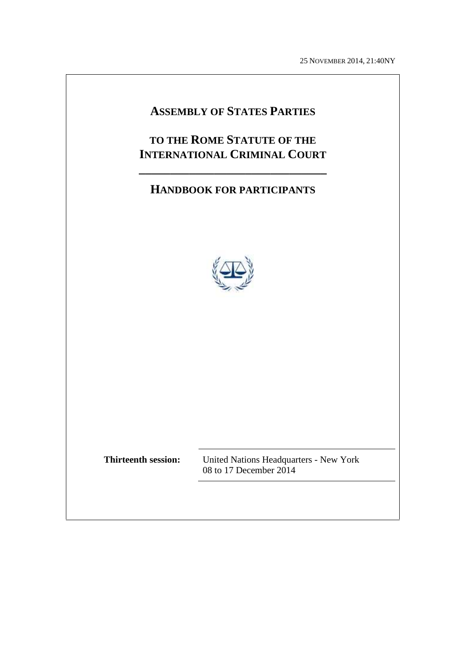25 NOVEMBER 2014, 21:40NY

# **ASSEMBLY OF STATES PARTIES**

# **TO THE ROME STATUTE OF THE INTERNATIONAL CRIMINAL COURT**

**\_\_\_\_\_\_\_\_\_\_\_\_\_\_\_\_\_\_\_\_\_\_\_\_\_\_\_\_\_\_**

# **HANDBOOK FOR PARTICIPANTS**



**Thirteenth session:** United Nations Headquarters - New York 08 to 17 December 2014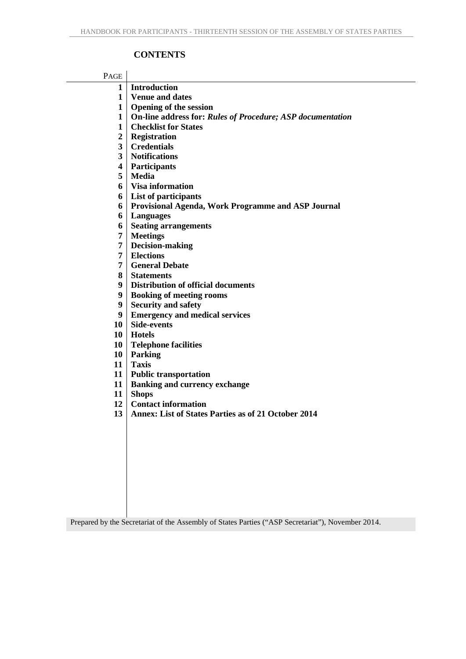#### **CONTENTS**

| PAGE     |                                                                   |
|----------|-------------------------------------------------------------------|
| 1        | <b>Introduction</b>                                               |
| 1        | <b>Venue and dates</b>                                            |
| 1        | <b>Opening of the session</b>                                     |
| 1        | <b>On-line address for: Rules of Procedure; ASP documentation</b> |
| 1        | <b>Checklist for States</b>                                       |
| 2        | <b>Registration</b>                                               |
| 3        | <b>Credentials</b>                                                |
| 3        | <b>Notifications</b>                                              |
| 4        | <b>Participants</b>                                               |
| 5        | <b>Media</b>                                                      |
| 6        | <b>Visa information</b>                                           |
| 6        | List of participants                                              |
| 6        | Provisional Agenda, Work Programme and ASP Journal                |
| 6        | <b>Languages</b>                                                  |
| 6        | <b>Seating arrangements</b>                                       |
| 7        | <b>Meetings</b>                                                   |
| 7        | <b>Decision-making</b>                                            |
| 7        | <b>Elections</b>                                                  |
| 7        | <b>General Debate</b>                                             |
| 8        | <b>Statements</b>                                                 |
| 9        | <b>Distribution of official documents</b>                         |
| 9        | <b>Booking of meeting rooms</b>                                   |
| 9        | <b>Security and safety</b>                                        |
| 9        | <b>Emergency and medical services</b>                             |
| 10       | <b>Side-events</b>                                                |
| 10       | <b>Hotels</b>                                                     |
| 10       | <b>Telephone facilities</b>                                       |
| 10       | <b>Parking</b>                                                    |
| 11       | <b>Taxis</b>                                                      |
| 11       | <b>Public transportation</b>                                      |
| 11       | <b>Banking and currency exchange</b>                              |
| 11       | <b>Shops</b><br><b>Contact information</b>                        |
| 12<br>13 | <b>Annex: List of States Parties as of 21 October 2014</b>        |
|          |                                                                   |
|          |                                                                   |
|          |                                                                   |
|          |                                                                   |
|          |                                                                   |
|          |                                                                   |
|          |                                                                   |
|          |                                                                   |

Prepared by the Secretariat of the Assembly of States Parties ("ASP Secretariat"), November 2014.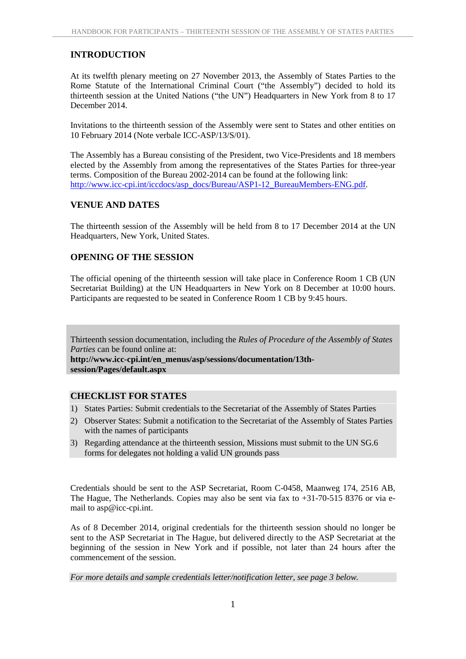#### **INTRODUCTION**

At its twelfth plenary meeting on 27 November 2013, the Assembly of States Parties to the Rome Statute of the International Criminal Court ("the Assembly") decided to hold its thirteenth session at the United Nations ("the UN") Headquarters in New York from 8 to 17 December 2014.

Invitations to the thirteenth session of the Assembly were sent to States and other entities on 10 February 2014 (Note verbale ICC-ASP/13/S/01).

The Assembly has a Bureau consisting of the President, two Vice-Presidents and 18 members elected by the Assembly from among the representatives of the States Parties for three-year terms. Composition of the Bureau 2002-2014 can be found at the following link: http://www.icc-cpi.int/iccdocs/asp\_docs/Bureau/ASP1-12\_BureauMembers-ENG.pdf.

#### **VENUE AND DATES**

The thirteenth session of the Assembly will be held from 8 to 17 December 2014 at the UN Headquarters, New York, United States.

#### **OPENING OF THE SESSION**

The official opening of the thirteenth session will take place in Conference Room 1 CB (UN Secretariat Building) at the UN Headquarters in New York on 8 December at 10:00 hours. Participants are requested to be seated in Conference Room 1 CB by 9:45 hours.

Thirteenth session documentation, including the *Rules of Procedure of the Assembly of States Parties* can be found online at:

**http://www.icc-cpi.int/en\_menus/asp/sessions/documentation/13th session/Pages/default.aspx**

#### **CHECKLIST FOR STATES**

- 1) States Parties: Submit credentials to the Secretariat of the Assembly of States Parties
- 2) Observer States: Submit a notification to the Secretariat of the Assembly of States Parties with the names of participants
- 3) Regarding attendance at the thirteenth session, Missions must submit to the UN SG.6 forms for delegates not holding a valid UN grounds pass

Credentials should be sent to the ASP Secretariat, Room C-0458, Maanweg 174, 2516 AB, The Hague, The Netherlands. Copies may also be sent via fax to +31-70-515 8376 or via e mail to asp@icc-cpi.int.

As of 8 December 2014, original credentials for the thirteenth session should no longer be sent to the ASP Secretariat in The Hague, but delivered directly to the ASP Secretariat at the beginning of the session in New York and if possible, not later than 24 hours after the commencement of the session.

*For more details and sample credentials letter/notification letter, see page 3 below.*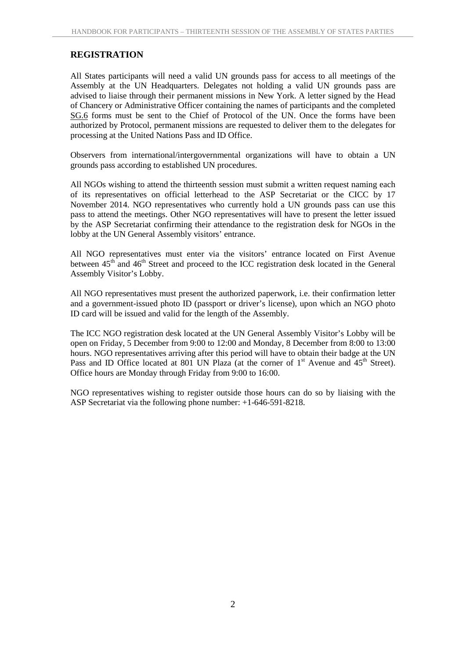#### **REGISTRATION**

All States participants will need a valid UN grounds pass for access to all meetings of the Assembly at the UN Headquarters. Delegates not holding a valid UN grounds pass are advised to liaise through their permanent missions in New York. A letter signed by the Head of Chancery or Administrative Officer containing the names of participants and the completed SG.6 forms must be sent to the Chief of Protocol of the UN. Once the forms have been authorized by Protocol, permanent missions are requested to deliver them to the delegates for processing at the United Nations Pass and ID Office.

Observers from international/intergovernmental organizations will have to obtain a UN grounds pass according to established UN procedures.

All NGOs wishing to attend the thirteenth session must submit a written request naming each of its representatives on official letterhead to the ASP Secretariat or the CICC by 17 November 2014. NGO representatives who currently hold a UN grounds pass can use this pass to attend the meetings. Other NGO representatives will have to present the letter issued by the ASP Secretariat confirming their attendance to the registration desk for NGOs in the lobby at the UN General Assembly visitors' entrance.

All NGO representatives must enter via the visitors' entrance located on First Avenue between 45<sup>th</sup> and 46<sup>th</sup> Street and proceed to the ICC registration desk located in the General Assembly Visitor's Lobby.

All NGO representatives must present the authorized paperwork, i.e. their confirmation letter and a government-issued photo ID (passport or driver's license), upon which an NGO photo ID card will be issued and valid for the length of the Assembly.

The ICC NGO registration desk located at the UN General Assembly Visitor's Lobby will be open on Friday, 5 December from 9:00 to 12:00 and Monday, 8 December from 8:00 to 13:00 hours. NGO representatives arriving after this period will have to obtain their badge at the UN Pass and ID Office located at 801 UN Plaza (at the corner of  $1<sup>st</sup>$  Avenue and  $45<sup>th</sup>$  Street). Office hours are Monday through Friday from 9:00 to 16:00.

NGO representatives wishing to register outside those hours can do so by liaising with the ASP Secretariat via the following phone number: +1-646-591-8218.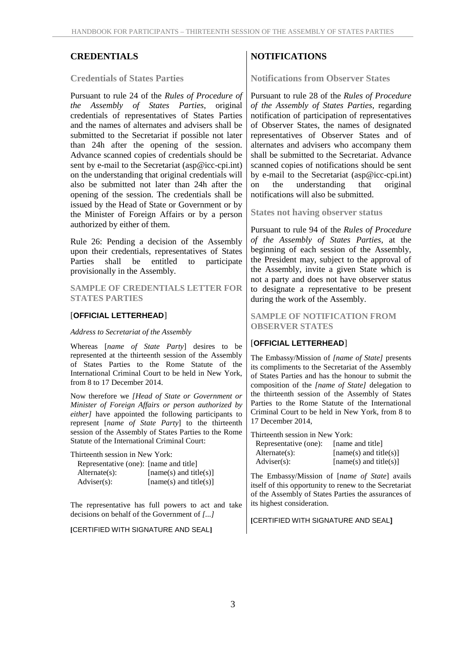#### **Credentials of States Parties**

Pursuant to rule 24 of the *Rules of Procedure of the Assembly of States Parties*, original credentials of representatives of States Parties and the names of alternates and advisers shall be submitted to the Secretariat if possible not later than 24h after the opening of the session. Advance scanned copies of credentials should be sent by e-mail to the Secretariat (asp@icc-cpi.int) on the understanding that original credentials will also be submitted not later than 24h after the  $\vert$  on opening of the session. The credentials shall be issued by the Head of State or Government or by the Minister of Foreign Affairs or by a person authorized by either of them.

Rule 26: Pending a decision of the Assembly upon their credentials, representatives of States Parties shall be entitled to participate provisionally in the Assembly.

**SAMPLE OF CREDENTIALS LETTER FOR STATES PARTIES**

#### [**OFFICIAL LETTERHEAD**]

#### *Address to Secretariat of the Assembly*

Whereas [*name of State Party*] desires to be represented at the thirteenth session of the Assembly of States Parties to the Rome Statute of the International Criminal Court to be held in New York, from 8 to 17 December 2014.

Now therefore we *[Head of State or Government or Minister of Foreign Affairs or person authorized by either]* have appointed the following participants to represent [*name of State Party*] to the thirteenth session of the Assembly of States Parties to the Rome Statute of the International Criminal Court:

Thirteenth session in New York:

| Representative (one): [name and title] |                        |
|----------------------------------------|------------------------|
| $Alternate(s)$ :                       | [name(s) and title(s)] |
| $Adviser(s)$ :                         | [name(s) and title(s)] |

The representative has full powers to act and take decisions on behalf of the Government of *[...]*

#### **[**CERTIFIED WITH SIGNATURE AND SEAL**]**

#### **CREDENTIALS NOTIFICATIONS**

**Notifications from Observer States**

Pursuant to rule 28 of the *Rules of Procedure of the Assembly of States Parties*, regarding notification of participation of representatives of Observer States, the names of designated representatives of Observer States and of alternates and advisers who accompany them shall be submitted to the Secretariat. Advance scanned copies of notifications should be sent by e-mail to the Secretariat (asp@icc-cpi.int) the understanding that original notifications will also be submitted.

**States not having observer status**

Pursuant to rule 94 of the *Rules of Procedure of the Assembly of States Parties*, at the beginning of each session of the Assembly, the President may, subject to the approval of the Assembly, invite a given State which is not a party and does not have observer status to designate a representative to be present during the work of the Assembly.

#### **SAMPLE OF NOTIFICATION FROM OBSERVER STATES**

#### [**OFFICIAL LETTERHEAD**]

The Embassy/Mission of *[name of State]* presents its compliments to the Secretariat of the Assembly of States Parties and has the honour to submit the composition of the *[name of State]* delegation to the thirteenth session of the Assembly of States Parties to the Rome Statute of the International Criminal Court to be held in New York, from 8 to 17 December 2014,

Thirteenth session in New York:

| Representative (one): | [name and title]         |
|-----------------------|--------------------------|
| $Alternate(s)$ :      | $[name(s)$ and title(s)] |
| $Adviser(s)$ :        | $[name(s)$ and title(s)] |

The Embassy/Mission of [*name of State*] avails itself of this opportunity to renew to the Secretariat of the Assembly of States Parties the assurances of its highest consideration.

**[**CERTIFIED WITH SIGNATURE AND SEAL**]**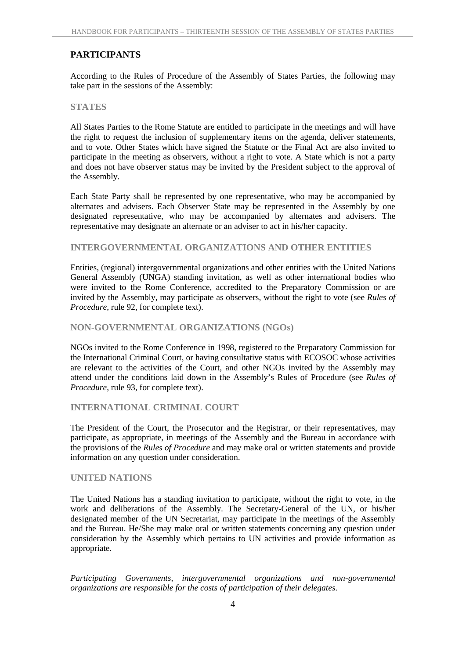#### **PARTICIPANTS**

According to the Rules of Procedure of the Assembly of States Parties, the following may take part in the sessions of the Assembly:

#### **STATES**

All States Parties to the Rome Statute are entitled to participate in the meetings and will have the right to request the inclusion of supplementary items on the agenda, deliver statements, and to vote. Other States which have signed the Statute or the Final Act are also invited to participate in the meeting as observers, without a right to vote. A State which is not a party and does not have observer status may be invited by the President subject to the approval of the Assembly.

Each State Party shall be represented by one representative, who may be accompanied by alternates and advisers. Each Observer State may be represented in the Assembly by one designated representative, who may be accompanied by alternates and advisers. The representative may designate an alternate or an adviser to act in his/her capacity.

#### **INTERGOVERNMENTAL ORGANIZATIONS AND OTHER ENTITIES**

Entities, (regional) intergovernmental organizations and other entities with the United Nations General Assembly (UNGA) standing invitation, as well as other international bodies who were invited to the Rome Conference, accredited to the Preparatory Commission or are invited by the Assembly, may participate as observers, without the right to vote (see *Rules of Procedure*, rule 92, for complete text).

#### **NON-GOVERNMENTAL ORGANIZATIONS (NGOs)**

NGOs invited to the Rome Conference in 1998, registered to the Preparatory Commission for the International Criminal Court, or having consultative status with ECOSOC whose activities are relevant to the activities of the Court, and other NGOs invited by the Assembly may attend under the conditions laid down in the Assembly's Rules of Procedure (see *Rules of Procedure*, rule 93, for complete text).

#### **INTERNATIONAL CRIMINAL COURT**

The President of the Court, the Prosecutor and the Registrar, or their representatives, may participate, as appropriate, in meetings of the Assembly and the Bureau in accordance with the provisions of the *Rules of Procedure* and may make oral or written statements and provide information on any question under consideration.

#### **UNITED NATIONS**

The United Nations has a standing invitation to participate, without the right to vote, in the work and deliberations of the Assembly. The Secretary-General of the UN, or his/her designated member of the UN Secretariat, may participate in the meetings of the Assembly and the Bureau. He/She may make oral or written statements concerning any question under consideration by the Assembly which pertains to UN activities and provide information as appropriate.

*Participating Governments, intergovernmental organizations and non-governmental organizations are responsible for the costs of participation of their delegates.*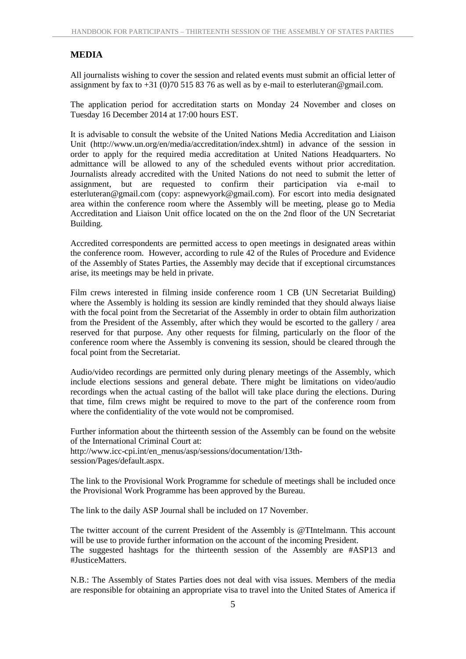#### **MEDIA**

All journalists wishing to cover the session and related events must submit an official letter of assignment by fax to  $+31$  (0)70 515 83 76 as well as by e-mail to esterluteran@gmail.com.

The application period for accreditation starts on Monday 24 November and closes on Tuesday 16 December 2014 at 17:00 hours EST.

It is advisable to consult the website of the United Nations Media Accreditation and Liaison Unit (http://www.un.org/en/media/accreditation/index.shtml) in advance of the session in order to apply for the required media accreditation at United Nations Headquarters. No admittance will be allowed to any of the scheduled events without prior accreditation. Journalists already accredited with the United Nations do not need to submit the letter of assignment, but are requested to confirm their participation via e-mail to esterluteran@gmail.com (copy: aspnewyork@gmail.com). For escort into media designated area within the conference room where the Assembly will be meeting, please go to Media Accreditation and Liaison Unit office located on the on the 2nd floor of the UN Secretariat Building.

Accredited correspondents are permitted access to open meetings in designated areas within the conference room. However, according to rule 42 of the Rules of Procedure and Evidence of the Assembly of States Parties, the Assembly may decide that if exceptional circumstances arise, its meetings may be held in private.

Film crews interested in filming inside conference room 1 CB (UN Secretariat Building) where the Assembly is holding its session are kindly reminded that they should always liaise with the focal point from the Secretariat of the Assembly in order to obtain film authorization from the President of the Assembly, after which they would be escorted to the gallery / area reserved for that purpose. Any other requests for filming, particularly on the floor of the conference room where the Assembly is convening its session, should be cleared through the focal point from the Secretariat.

Audio/video recordings are permitted only during plenary meetings of the Assembly, which include elections sessions and general debate. There might be limitations on video/audio recordings when the actual casting of the ballot will take place during the elections. During that time, film crews might be required to move to the part of the conference room from where the confidentiality of the vote would not be compromised.

Further information about the thirteenth session of the Assembly can be found on the website of the International Criminal Court at: http://www.icc-cpi.int/en\_menus/asp/sessions/documentation/13th session/Pages/default.aspx.

The link to the Provisional Work Programme for schedule of meetings shall be included once the Provisional Work Programme has been approved by the Bureau.

The link to the daily ASP Journal shall be included on 17 November.

The twitter account of the current President of the Assembly is @TIntelmann. This account will be use to provide further information on the account of the incoming President. The suggested hashtags for the thirteenth session of the Assembly are #ASP13 and #JusticeMatters.

N.B.: The Assembly of States Parties does not deal with visa issues. Members of the media are responsible for obtaining an appropriate visa to travel into the United States of America if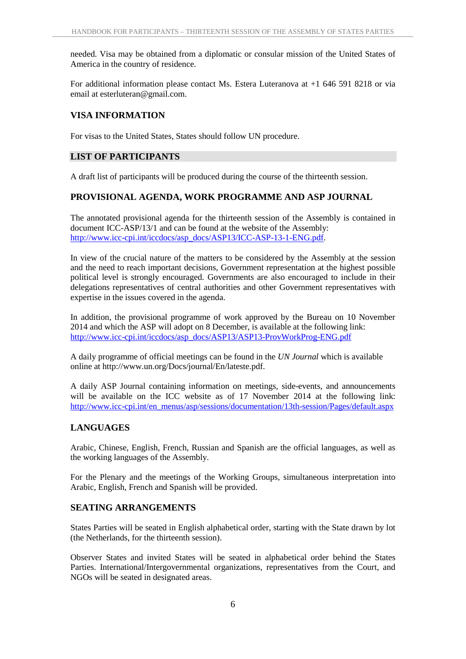needed. Visa may be obtained from a diplomatic or consular mission of the United States of America in the country of residence.

For additional information please contact Ms. Estera Luteranova at +1 646 591 8218 or via email at esterluteran@gmail.com.

#### **VISA INFORMATION**

For visas to the United States, States should follow UN procedure.

#### **LIST OF PARTICIPANTS**

A draft list of participants will be produced during the course of the thirteenth session.

#### **PROVISIONAL AGENDA, WORK PROGRAMME AND ASP JOURNAL**

The annotated provisional agenda for the thirteenth session of the Assembly is contained in document ICC-ASP/13/1 and can be found at the website of the Assembly: http://www.icc-cpi.int/iccdocs/asp\_docs/ASP13/ICC-ASP-13-1-ENG.pdf.

In view of the crucial nature of the matters to be considered by the Assembly at the session and the need to reach important decisions, Government representation at the highest possible political level is strongly encouraged. Governments are also encouraged to include in their delegations representatives of central authorities and other Government representatives with expertise in the issues covered in the agenda.

In addition, the provisional programme of work approved by the Bureau on 10 November 2014 and which the ASP will adopt on 8 December, is available at the following link: http://www.icc-cpi.int/iccdocs/asp\_docs/ASP13/ASP13-ProvWorkProg-ENG.pdf

A daily programme of official meetings can be found in the *UN Journal* which is available online at http://www.un.org/Docs/journal/En/lateste.pdf.

A daily ASP Journal containing information on meetings, side-events, and announcements will be available on the ICC website as of 17 November 2014 at the following link: http://www.icc-cpi.int/en\_menus/asp/sessions/documentation/13th-session/Pages/default.aspx

#### **LANGUAGES**

Arabic, Chinese, English, French, Russian and Spanish are the official languages, as well as the working languages of the Assembly.

For the Plenary and the meetings of the Working Groups, simultaneous interpretation into Arabic, English, French and Spanish will be provided.

#### **SEATING ARRANGEMENTS**

States Parties will be seated in English alphabetical order, starting with the State drawn by lot (the Netherlands, for the thirteenth session).

Observer States and invited States will be seated in alphabetical order behind the States Parties. International/Intergovernmental organizations, representatives from the Court, and NGOs will be seated in designated areas.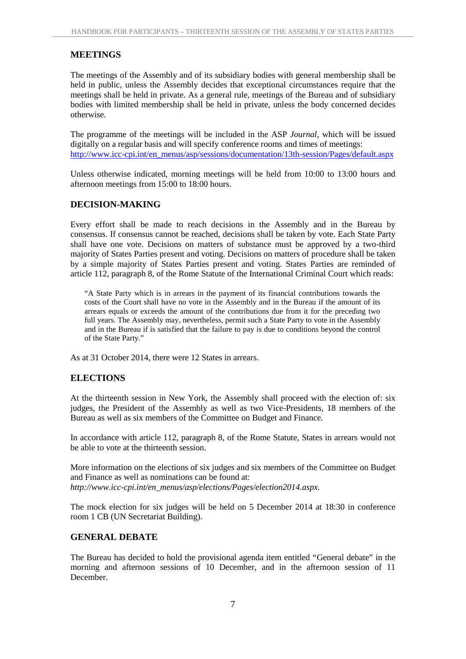#### **MEETINGS**

The meetings of the Assembly and of its subsidiary bodies with general membership shall be held in public, unless the Assembly decides that exceptional circumstances require that the meetings shall be held in private. As a general rule, meetings of the Bureau and of subsidiary bodies with limited membership shall be held in private, unless the body concerned decides otherwise.

The programme of the meetings will be included in the ASP *Journal*, which will be issued digitally on a regular basis and will specify conference rooms and times of meetings: http://www.icc-cpi.int/en\_menus/asp/sessions/documentation/13th-session/Pages/default.aspx

Unless otherwise indicated, morning meetings will be held from 10:00 to 13:00 hours and afternoon meetings from 15:00 to 18:00 hours.

#### **DECISION-MAKING**

Every effort shall be made to reach decisions in the Assembly and in the Bureau by consensus. If consensus cannot be reached, decisions shall be taken by vote. Each State Party shall have one vote. Decisions on matters of substance must be approved by a two-third majority of States Parties present and voting. Decisions on matters of procedure shall be taken by a simple majority of States Parties present and voting. States Parties are reminded of article 112, paragraph 8, of the Rome Statute of the International Criminal Court which reads:

"A State Party which is in arrears in the payment of its financial contributions towards the costs of the Court shall have no vote in the Assembly and in the Bureau if the amount of its arrears equals or exceeds the amount of the contributions due from it for the preceding two full years. The Assembly may, nevertheless, permit such a State Party to vote in the Assembly and in the Bureau if is satisfied that the failure to pay is due to conditions beyond the control of the State Party."

As at 31 October 2014, there were 12 States in arrears.

#### **ELECTIONS**

At the thirteenth session in New York, the Assembly shall proceed with the election of: six judges, the President of the Assembly as well as two Vice-Presidents, 18 members of the Bureau as well as six members of the Committee on Budget and Finance*.*

In accordance with article 112, paragraph 8, of the Rome Statute, States in arrears would not be able to vote at the thirteenth session.

More information on the elections of six judges and six members of the Committee on Budget and Finance as well as nominations can be found at: *http://www.icc-cpi.int/en\_menus/asp/elections/Pages/election2014.aspx.*

The mock election for six judges will be held on 5 December 2014 at 18:30 in conference room 1 CB (UN Secretariat Building).

#### **GENERAL DEBATE**

The Bureau has decided to hold the provisional agenda item entitled "General debate" in the morning and afternoon sessions of 10 December, and in the afternoon session of 11 December.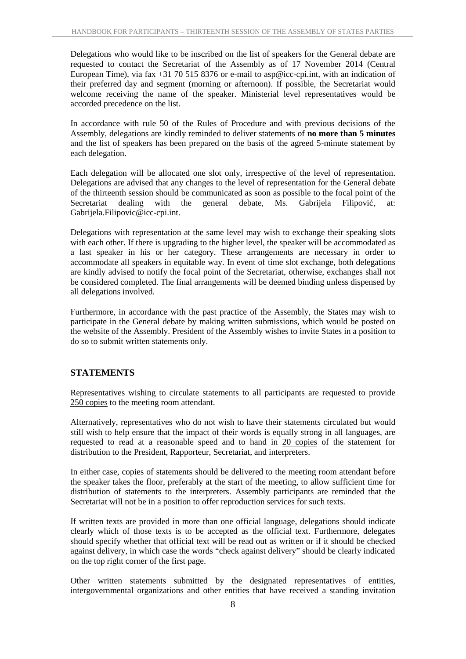Delegations who would like to be inscribed on the list of speakers for the General debate are requested to contact the Secretariat of the Assembly as of 17 November 2014 (Central European Time), via fax +31 70 515 8376 or e-mail to asp@icc-cpi.int, with an indication of their preferred day and segment (morning or afternoon). If possible, the Secretariat would welcome receiving the name of the speaker. Ministerial level representatives would be accorded precedence on the list.

In accordance with rule 50 of the Rules of Procedure and with previous decisions of the Assembly, delegations are kindly reminded to deliver statements of **no more than 5 minutes** and the list of speakers has been prepared on the basis of the agreed 5-minute statement by each delegation.

Each delegation will be allocated one slot only, irrespective of the level of representation. Delegations are advised that any changes to the level of representation for the General debate of the thirteenth session should be communicated as soon as possible to the focal point of the Secretariat dealing with the general debate, Ms. Gabrijela Filipovi, at: Gabrijela.Filipovic@icc-cpi.int.

Delegations with representation at the same level may wish to exchange their speaking slots with each other. If there is upgrading to the higher level, the speaker will be accommodated as a last speaker in his or her category. These arrangements are necessary in order to accommodate all speakers in equitable way. In event of time slot exchange, both delegations are kindly advised to notify the focal point of the Secretariat, otherwise, exchanges shall not be considered completed. The final arrangements will be deemed binding unless dispensed by all delegations involved.

Furthermore, in accordance with the past practice of the Assembly, the States may wish to participate in the General debate by making written submissions, which would be posted on the website of the Assembly. President of the Assembly wishes to invite States in a position to do so to submit written statements only.

#### **STATEMENTS**

Representatives wishing to circulate statements to all participants are requested to provide 250 copies to the meeting room attendant.

Alternatively, representatives who do not wish to have their statements circulated but would still wish to help ensure that the impact of their words is equally strong in all languages, are requested to read at a reasonable speed and to hand in 20 copies of the statement for distribution to the President, Rapporteur, Secretariat, and interpreters.

In either case, copies of statements should be delivered to the meeting room attendant before the speaker takes the floor, preferably at the start of the meeting, to allow sufficient time for distribution of statements to the interpreters. Assembly participants are reminded that the Secretariat will not be in a position to offer reproduction services for such texts.

If written texts are provided in more than one official language, delegations should indicate clearly which of those texts is to be accepted as the official text. Furthermore, delegates should specify whether that official text will be read out as written or if it should be checked against delivery, in which case the words "check against delivery" should be clearly indicated on the top right corner of the first page.

Other written statements submitted by the designated representatives of entities, intergovernmental organizations and other entities that have received a standing invitation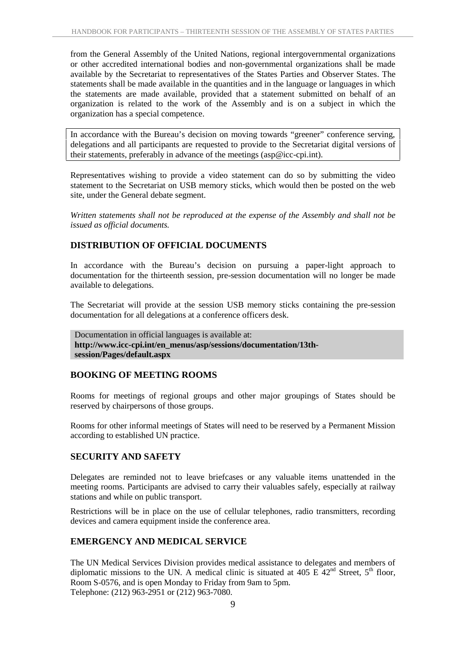from the General Assembly of the United Nations, regional intergovernmental organizations or other accredited international bodies and non-governmental organizations shall be made available by the Secretariat to representatives of the States Parties and Observer States. The statements shall be made available in the quantities and in the language or languages in which the statements are made available, provided that a statement submitted on behalf of an organization is related to the work of the Assembly and is on a subject in which the organization has a special competence.

In accordance with the Bureau's decision on moving towards "greener" conference serving, delegations and all participants are requested to provide to the Secretariat digital versions of their statements, preferably in advance of the meetings (asp@icc-cpi.int).

Representatives wishing to provide a video statement can do so by submitting the video statement to the Secretariat on USB memory sticks, which would then be posted on the web site, under the General debate segment.

*Written statements shall not be reproduced at the expense of the Assembly and shall not be issued as official documents.*

#### **DISTRIBUTION OF OFFICIAL DOCUMENTS**

In accordance with the Bureau's decision on pursuing a paper-light approach to documentation for the thirteenth session, pre-session documentation will no longer be made available to delegations.

The Secretariat will provide at the session USB memory sticks containing the pre-session documentation for all delegations at a conference officers desk.

Documentation in official languages is available at: **http://www.icc-cpi.int/en\_menus/asp/sessions/documentation/13th session/Pages/default.aspx**

#### **BOOKING OF MEETING ROOMS**

Rooms for meetings of regional groups and other major groupings of States should be reserved by chairpersons of those groups.

Rooms for other informal meetings of States will need to be reserved by a Permanent Mission according to established UN practice.

#### **SECURITY AND SAFETY**

Delegates are reminded not to leave briefcases or any valuable items unattended in the meeting rooms. Participants are advised to carry their valuables safely, especially at railway stations and while on public transport.

Restrictions will be in place on the use of cellular telephones, radio transmitters, recording devices and camera equipment inside the conference area.

#### **EMERGENCY AND MEDICAL SERVICE**

The UN Medical Services Division provides medical assistance to delegates and members of diplomatic missions to the UN. A medical clinic is situated at 405 E  $42<sup>nd</sup>$  Street,  $5<sup>th</sup>$  floor, Room S-0576, and is open Monday to Friday from 9am to 5pm. Telephone: (212) 963-2951 or (212) 963-7080.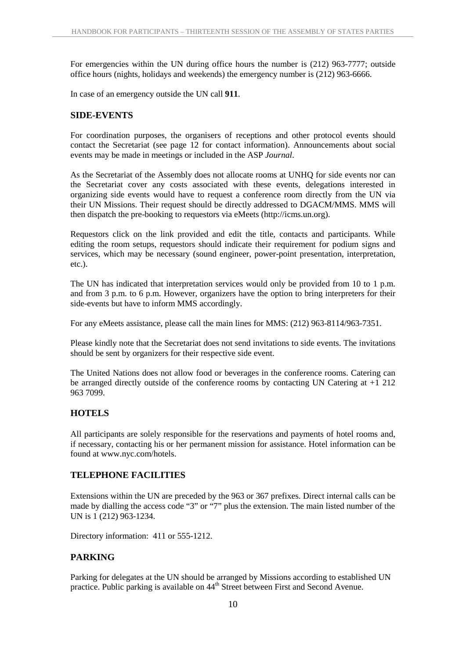For emergencies within the UN during office hours the number is (212) 963-7777; outside office hours (nights, holidays and weekends) the emergency number is (212) 963-6666.

In case of an emergency outside the UN call **911**.

#### **SIDE-EVENTS**

For coordination purposes, the organisers of receptions and other protocol events should contact the Secretariat (see page 12 for contact information). Announcements about social events may be made in meetings or included in the ASP *Journal*.

As the Secretariat of the Assembly does not allocate rooms at UNHQ for side events nor can the Secretariat cover any costs associated with these events, delegations interested in organizing side events would have to request a conference room directly from the UN via their UN Missions. Their request should be directly addressed to DGACM/MMS. MMS will then dispatch the pre-booking to requestors via eMeets (http://icms.un.org).

Requestors click on the link provided and edit the title, contacts and participants. While editing the room setups, requestors should indicate their requirement for podium signs and services, which may be necessary (sound engineer, power-point presentation, interpretation, etc.).

The UN has indicated that interpretation services would only be provided from 10 to 1 p.m. and from 3 p.m. to 6 p.m. However, organizers have the option to bring interpreters for their side-events but have to inform MMS accordingly.

For any eMeets assistance, please call the main lines for MMS: (212) 963-8114/963-7351.

Please kindly note that the Secretariat does not send invitations to side events. The invitations should be sent by organizers for their respective side event.

The United Nations does not allow food or beverages in the conference rooms. Catering can be arranged directly outside of the conference rooms by contacting UN Catering at  $+1$  212 963 7099.

#### **HOTELS**

All participants are solely responsible for the reservations and payments of hotel rooms and, if necessary, contacting his or her permanent mission for assistance. Hotel information can be found at www.nyc.com/hotels.

#### **TELEPHONE FACILITIES**

Extensions within the UN are preceded by the 963 or 367 prefixes. Direct internal calls can be made by dialling the access code "3" or "7" plus the extension. The main listed number of the UN is 1 (212) 963-1234.

Directory information: 411 or 555-1212.

#### **PARKING**

Parking for delegates at the UN should be arranged by Missions according to established UN practice. Public parking is available on 44<sup>th</sup> Street between First and Second Avenue.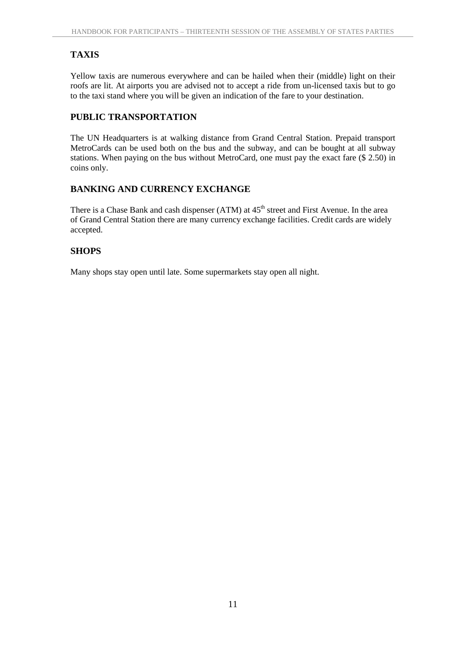### **TAXIS**

Yellow taxis are numerous everywhere and can be hailed when their (middle) light on their roofs are lit. At airports you are advised not to accept a ride from un-licensed taxis but to go to the taxi stand where you will be given an indication of the fare to your destination.

#### **PUBLIC TRANSPORTATION**

The UN Headquarters is at walking distance from Grand Central Station. Prepaid transport MetroCards can be used both on the bus and the subway, and can be bought at all subway stations. When paying on the bus without MetroCard, one must pay the exact fare (\$ 2.50) in coins only.

#### **BANKING AND CURRENCY EXCHANGE**

There is a Chase Bank and cash dispenser (ATM) at  $45<sup>th</sup>$  street and First Avenue. In the area of Grand Central Station there are many currency exchange facilities. Credit cards are widely accepted.

#### **SHOPS**

Many shops stay open until late. Some supermarkets stay open all night.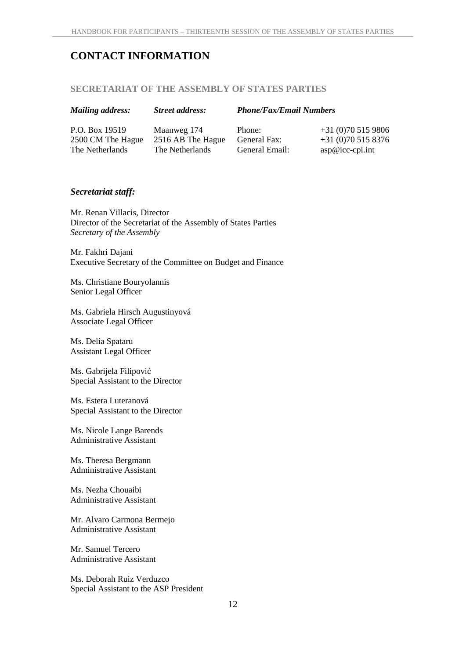## **CONTACT INFORMATION**

#### **SECRETARIAT OF THE ASSEMBLY OF STATES PARTIES**

#### *Mailing address: Street address: Phone/Fax/Email Numbers*

P.O. Box 19519 2500 CM The Hague The Netherlands

Maanweg 174 2516 AB The Hague The Netherlands

Phone: General Fax: General Email: +31 (0)70 515 9806 +31 (0)70 515 8376 asp@icc-cpi.int

#### *Secretariat staff:*

Mr. Renan Villacis, Director Director of the Secretariat of the Assembly of States Parties *Secretary of the Assembly*

Mr. Fakhri Dajani Executive Secretary of the Committee on Budget and Finance

Ms. Christiane Bouryolannis Senior Legal Officer

Ms. Gabriela Hirsch Augustinyová Associate Legal Officer

Ms. Delia Spataru Assistant Legal Officer

Ms. Gabrijela Filipović Special Assistant to the Director

Ms. Estera Luteranová Special Assistant to the Director

Ms. Nicole Lange Barends Administrative Assistant

Ms. Theresa Bergmann Administrative Assistant

Ms. Nezha Chouaibi Administrative Assistant

Mr. Alvaro Carmona Bermejo Administrative Assistant

Mr. Samuel Tercero Administrative Assistant

Ms. Deborah Ruiz Verduzco Special Assistant to the ASP President